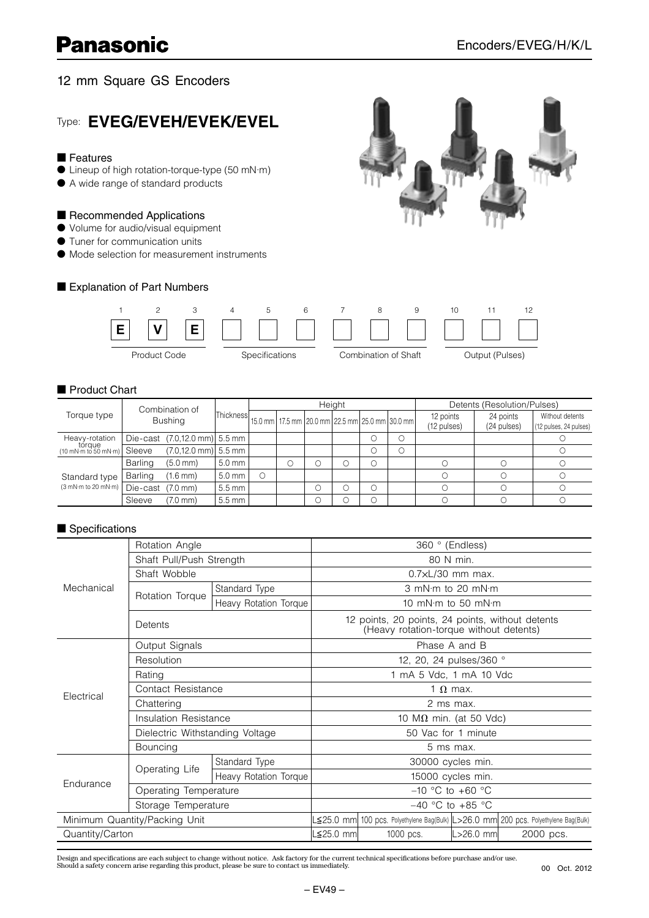# **Panasonic**

### 12 mm Square GS Encoders

Type: **EVEG/EVEH/EVEK/EVEL**

#### ■ Features

- Lineup of high rotation-torque-type (50 mN·m)
- A wide range of standard products

#### ■ Recommended Applications

- Volume for audio/visual equipment
- Tuner for communication units
- Mode selection for measurement instruments

#### ■ Explanation of Part Numbers



#### ■ Product Chart

|                                                                                           | Combination of<br><b>Bushing</b> |                                |                                                             | Heiaht |  |  |   |   |  | Detents (Resolution/Pulses) |                          |                                           |
|-------------------------------------------------------------------------------------------|----------------------------------|--------------------------------|-------------------------------------------------------------|--------|--|--|---|---|--|-----------------------------|--------------------------|-------------------------------------------|
| Torque type                                                                               |                                  |                                | Thickness 15.0 mm 17.5 mm 20.0 mm 22.5 mm 25.0 mm 30.0 mm 1 |        |  |  |   |   |  | 12 points<br>(12 pulses)    | 24 points<br>(24 pulses) | Without detents<br>(12 pulses, 24 pulses) |
| Heavy-rotation                                                                            |                                  | Die-cast (7.0,12.0 mm) 5.5 mm  |                                                             |        |  |  |   |   |  |                             |                          |                                           |
| torque<br>(10 mN·m to 50 mN·m)                                                            | Sleeve                           | $(7.0.12.0 \text{ mm})$ 5.5 mm |                                                             |        |  |  |   |   |  |                             |                          |                                           |
| Standard type<br>$(3 \text{ mN} \cdot \text{m} \text{ to } 20 \text{ mN} \cdot \text{m})$ | Barling                          | $(5.0 \, \text{mm})$           | $5.0 \text{ mm}$                                            |        |  |  |   | O |  |                             |                          |                                           |
|                                                                                           | Barling                          | $(1.6 \text{ mm})$             | $5.0$ mm                                                    |        |  |  |   |   |  |                             |                          |                                           |
|                                                                                           | Die-cast                         | $(7.0 \text{ mm})$             | $5.5 \text{ mm}$                                            |        |  |  | Ω | Ω |  |                             |                          |                                           |
|                                                                                           | Sleeve                           | (7.0 mm)                       | $5.5 \text{ mm}$                                            |        |  |  |   | O |  |                             |                          |                                           |

#### ■ Specifications

| Mechanical                    | Rotation Angle                  |                       | 360 ° (Endless)                                                                             |                                                                                       |               |           |  |  |  |
|-------------------------------|---------------------------------|-----------------------|---------------------------------------------------------------------------------------------|---------------------------------------------------------------------------------------|---------------|-----------|--|--|--|
|                               | Shaft Pull/Push Strength        |                       | 80 N min.                                                                                   |                                                                                       |               |           |  |  |  |
|                               | Shaft Wobble                    |                       | $0.7\times L/30$ mm max.                                                                    |                                                                                       |               |           |  |  |  |
|                               | Rotation Torque                 | Standard Type         | 3 mN $\cdot$ m to 20 mN $\cdot$ m                                                           |                                                                                       |               |           |  |  |  |
|                               |                                 | Heavy Rotation Torque | 10 mN $\cdot$ m to 50 mN $\cdot$ m                                                          |                                                                                       |               |           |  |  |  |
|                               | Detents                         |                       | 12 points, 20 points, 24 points, without detents<br>(Heavy rotation-torque without detents) |                                                                                       |               |           |  |  |  |
|                               | Output Signals                  |                       | Phase A and B                                                                               |                                                                                       |               |           |  |  |  |
| Electrical                    | Resolution                      |                       | 12, 20, 24 pulses/360 °                                                                     |                                                                                       |               |           |  |  |  |
|                               | Rating                          |                       | 1 mA 5 Vdc, 1 mA 10 Vdc                                                                     |                                                                                       |               |           |  |  |  |
|                               | Contact Resistance              |                       | 1 $\Omega$ max.                                                                             |                                                                                       |               |           |  |  |  |
|                               | Chattering                      |                       | 2 ms max.                                                                                   |                                                                                       |               |           |  |  |  |
|                               | Insulation Resistance           |                       | 10 M $\Omega$ min. (at 50 Vdc)                                                              |                                                                                       |               |           |  |  |  |
|                               | Dielectric Withstanding Voltage |                       | 50 Vac for 1 minute                                                                         |                                                                                       |               |           |  |  |  |
|                               | Bouncing                        |                       | 5 ms max.                                                                                   |                                                                                       |               |           |  |  |  |
| Endurance                     |                                 | Standard Type         | 30000 cycles min.                                                                           |                                                                                       |               |           |  |  |  |
|                               | Operating Life                  | Heavy Rotation Torque | 15000 cycles min.                                                                           |                                                                                       |               |           |  |  |  |
|                               | Operating Temperature           |                       | $-10$ °C to +60 °C                                                                          |                                                                                       |               |           |  |  |  |
|                               | Storage Temperature             |                       | $-40$ °C to $+85$ °C                                                                        |                                                                                       |               |           |  |  |  |
| Minimum Quantity/Packing Unit |                                 |                       |                                                                                             | L≦25.0 mm  100 pcs. Polyethylene Bag(Bulk) L>26.0 mm  200 pcs. Polyethylene Bag(Bulk) |               |           |  |  |  |
| Quantity/Carton               |                                 |                       | _≦25.0 mm                                                                                   | 1000 pcs.                                                                             | $L > 26.0$ mm | 2000 pcs. |  |  |  |

Design and specifications are each subject to change without notice. Ask factory for the current technical specifications before purchase and/or use.<br>Should a safety concern arise regarding this product, please be sure to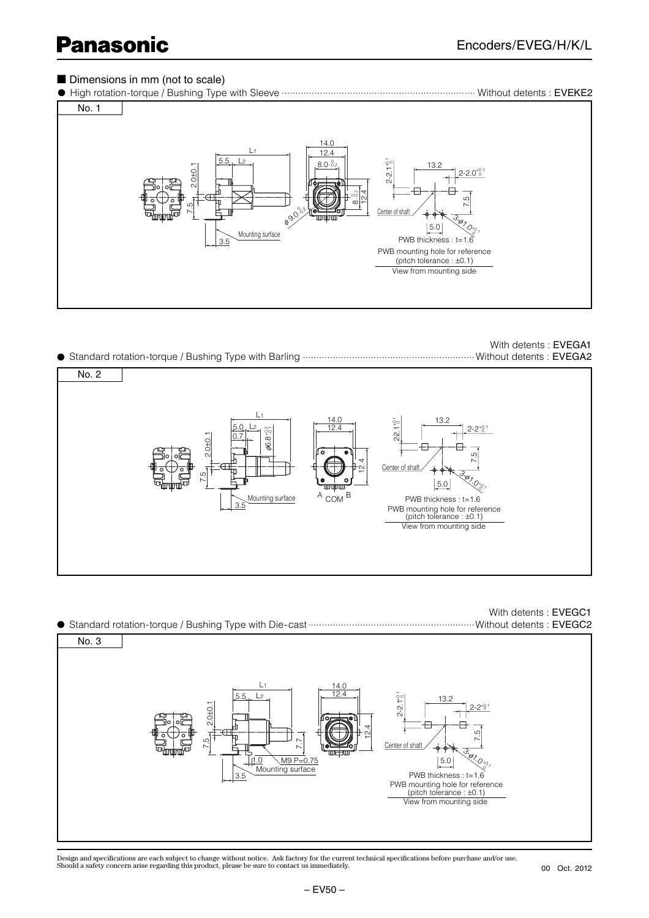# **Panasonic**

#### ■ Dimensions in mm (not to scale)

● High rotation-torque / Bushing Type with Sleeve ....................................................................... Without detents : EVEKE2



## With detents : EVEGA1

● Standard rotation-torque / Bushing Type with Barling ...............................................................Without detents : EVEGA2



#### With detents : EVEGC1 ● Standard rotation-torque / Bushing Type with Die-cast.............................................................Without detents : EVEGC2 No. 3



Design and specifications are each subject to change without notice. Ask factory for the current technical specifications before purchase and/or use.<br>Should a safety concern arise regarding this product, please be sure to